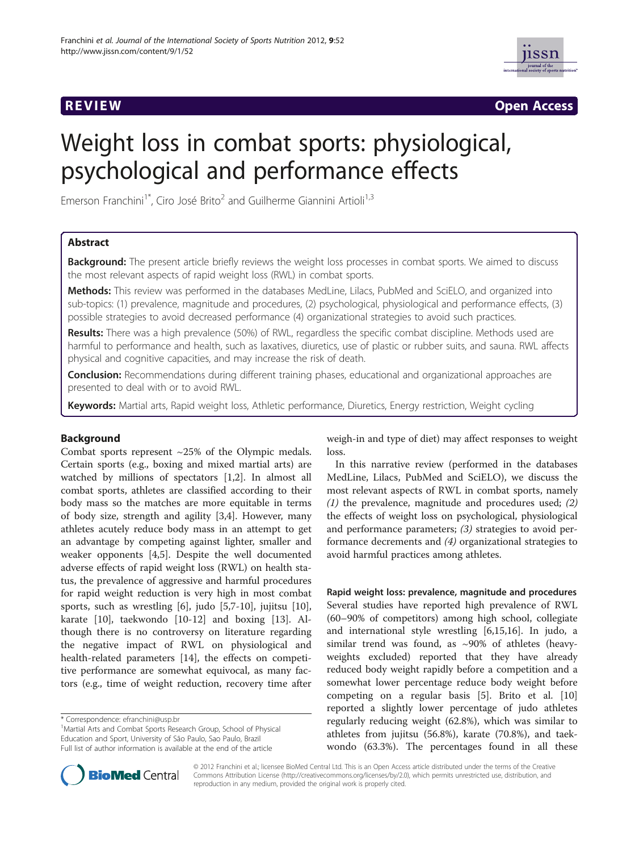

**REVIEW CONSTRUCTION CONSTRUCTION CONSTRUCTS** 

# Weight loss in combat sports: physiological, psychological and performance effects

Emerson Franchini<sup>1</sup><sup>\*</sup>, Ciro José Brito<sup>2</sup> and Guilherme Giannini Artioli<sup>1,3</sup>

# Abstract

**Background:** The present article briefly reviews the weight loss processes in combat sports. We aimed to discuss the most relevant aspects of rapid weight loss (RWL) in combat sports.

Methods: This review was performed in the databases MedLine, Lilacs, PubMed and SciELO, and organized into sub-topics: (1) prevalence, magnitude and procedures, (2) psychological, physiological and performance effects, (3) possible strategies to avoid decreased performance (4) organizational strategies to avoid such practices.

Results: There was a high prevalence (50%) of RWL, regardless the specific combat discipline. Methods used are harmful to performance and health, such as laxatives, diuretics, use of plastic or rubber suits, and sauna. RWL affects physical and cognitive capacities, and may increase the risk of death.

Conclusion: Recommendations during different training phases, educational and organizational approaches are presented to deal with or to avoid RWL.

Keywords: Martial arts, Rapid weight loss, Athletic performance, Diuretics, Energy restriction, Weight cycling

# Background

Combat sports represent ~25% of the Olympic medals. Certain sports (e.g., boxing and mixed martial arts) are watched by millions of spectators [1,2]. In almost all combat sports, athletes are classified according to their body mass so the matches are more equitable in terms of body size, strength and agility [3,4]. However, many athletes acutely reduce body mass in an attempt to get an advantage by competing against lighter, smaller and weaker opponents [4,5]. Despite the well documented adverse effects of rapid weight loss (RWL) on health status, the prevalence of aggressive and harmful procedures for rapid weight reduction is very high in most combat sports, such as wrestling [6], judo [5,7-10], jujitsu [10], karate [10], taekwondo [10-12] and boxing [13]. Although there is no controversy on literature regarding the negative impact of RWL on physiological and health-related parameters [14], the effects on competitive performance are somewhat equivocal, as many factors (e.g., time of weight reduction, recovery time after

weigh-in and type of diet) may affect responses to weight loss.

In this narrative review (performed in the databases MedLine, Lilacs, PubMed and SciELO), we discuss the most relevant aspects of RWL in combat sports, namely  $(1)$  the prevalence, magnitude and procedures used;  $(2)$ the effects of weight loss on psychological, physiological and performance parameters; (3) strategies to avoid performance decrements and (4) organizational strategies to avoid harmful practices among athletes.

Rapid weight loss: prevalence, magnitude and procedures Several studies have reported high prevalence of RWL (60–90% of competitors) among high school, collegiate and international style wrestling [6,15,16]. In judo, a similar trend was found, as  $\sim$ 90% of athletes (heavyweights excluded) reported that they have already reduced body weight rapidly before a competition and a somewhat lower percentage reduce body weight before competing on a regular basis [5]. Brito et al. [10] reported a slightly lower percentage of judo athletes regularly reducing weight (62.8%), which was similar to athletes from jujitsu (56.8%), karate (70.8%), and taekwondo (63.3%). The percentages found in all these



© 2012 Franchini et al.; licensee BioMed Central Ltd. This is an Open Access article distributed under the terms of the Creative Commons Attribution License (http://creativecommons.org/licenses/by/2.0), which permits unrestricted use, distribution, and reproduction in any medium, provided the original work is properly cited.

<sup>\*</sup> Correspondence: efranchini@usp.br <sup>1</sup>

<sup>&</sup>lt;sup>1</sup> Martial Arts and Combat Sports Research Group, School of Physical Education and Sport, University of São Paulo, Sao Paulo, Brazil Full list of author information is available at the end of the article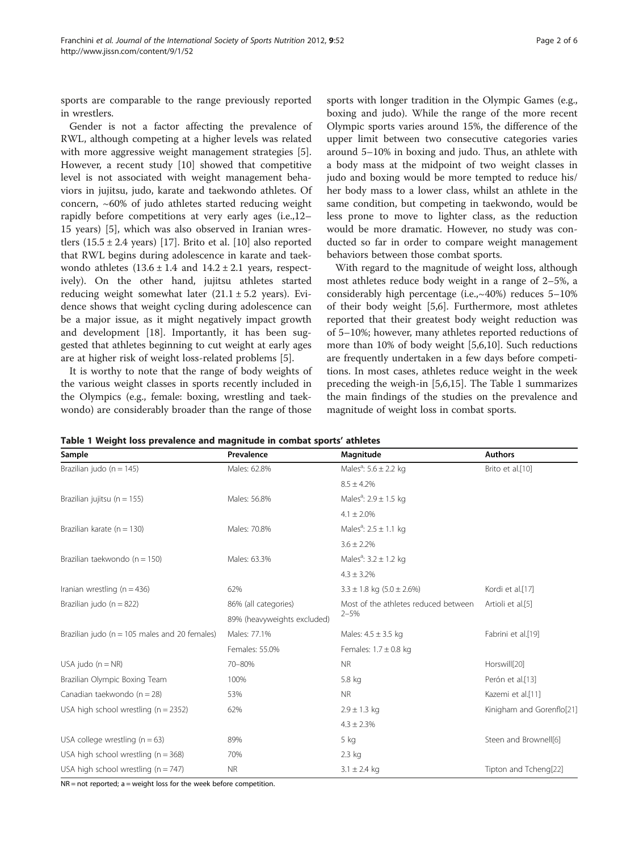sports are comparable to the range previously reported in wrestlers.

Gender is not a factor affecting the prevalence of RWL, although competing at a higher levels was related with more aggressive weight management strategies [5]. However, a recent study [10] showed that competitive level is not associated with weight management behaviors in jujitsu, judo, karate and taekwondo athletes. Of concern, ~60% of judo athletes started reducing weight rapidly before competitions at very early ages (i.e.,12– 15 years) [5], which was also observed in Iranian wrestlers  $(15.5 \pm 2.4 \text{ years})$  [17]. Brito et al. [10] also reported that RWL begins during adolescence in karate and taekwondo athletes  $(13.6 \pm 1.4 \text{ and } 14.2 \pm 2.1 \text{ years}, \text{ respect-}$ ively). On the other hand, jujitsu athletes started reducing weight somewhat later  $(21.1 \pm 5.2 \text{ years})$ . Evidence shows that weight cycling during adolescence can be a major issue, as it might negatively impact growth and development [18]. Importantly, it has been suggested that athletes beginning to cut weight at early ages are at higher risk of weight loss-related problems [5].

It is worthy to note that the range of body weights of the various weight classes in sports recently included in the Olympics (e.g., female: boxing, wrestling and taekwondo) are considerably broader than the range of those

sports with longer tradition in the Olympic Games (e.g., boxing and judo). While the range of the more recent Olympic sports varies around 15%, the difference of the upper limit between two consecutive categories varies around 5–10% in boxing and judo. Thus, an athlete with a body mass at the midpoint of two weight classes in judo and boxing would be more tempted to reduce his/ her body mass to a lower class, whilst an athlete in the same condition, but competing in taekwondo, would be less prone to move to lighter class, as the reduction would be more dramatic. However, no study was conducted so far in order to compare weight management behaviors between those combat sports.

With regard to the magnitude of weight loss, although most athletes reduce body weight in a range of 2–5%, a considerably high percentage (i.e.,~40%) reduces 5–10% of their body weight [5,6]. Furthermore, most athletes reported that their greatest body weight reduction was of 5–10%; however, many athletes reported reductions of more than 10% of body weight [5,6,10]. Such reductions are frequently undertaken in a few days before competitions. In most cases, athletes reduce weight in the week preceding the weigh-in [5,6,15]. The Table 1 summarizes the main findings of the studies on the prevalence and magnitude of weight loss in combat sports.

|  |  |  |  | Table 1 Weight loss prevalence and magnitude in combat sports' athletes |
|--|--|--|--|-------------------------------------------------------------------------|
|--|--|--|--|-------------------------------------------------------------------------|

| Sample                                           | Prevalence                  | Magnitude                             | <b>Authors</b>            |  |
|--------------------------------------------------|-----------------------------|---------------------------------------|---------------------------|--|
| Brazilian judo ( $n = 145$ )                     | Males: 62.8%                | Males <sup>a</sup> : $5.6 \pm 2.2$ kg | Brito et al.[10]          |  |
|                                                  |                             | $8.5 \pm 4.2\%$                       |                           |  |
| Brazilian jujitsu ( $n = 155$ )                  | Males: 56.8%                | Males <sup>a</sup> : $2.9 \pm 1.5$ kg |                           |  |
|                                                  |                             | $4.1 \pm 2.0\%$                       |                           |  |
| Brazilian karate ( $n = 130$ )                   | Males: 70.8%                | Males <sup>a</sup> : $2.5 \pm 1.1$ kg |                           |  |
|                                                  |                             | $3.6 \pm 2.2\%$                       |                           |  |
| Brazilian taekwondo ( $n = 150$ )                | Males: 63.3%                | Males <sup>a</sup> : $3.2 \pm 1.2$ kg |                           |  |
|                                                  |                             | $4.3 \pm 3.2\%$                       |                           |  |
| Iranian wrestling ( $n = 436$ )                  | 62%                         | $3.3 \pm 1.8$ kg $(5.0 \pm 2.6\%)$    | Kordi et al.[17]          |  |
| Brazilian judo ( $n = 822$ )                     | 86% (all categories)        | Most of the athletes reduced between  | Artioli et al.[5]         |  |
|                                                  | 89% (heavyweights excluded) | $2 - 5%$                              |                           |  |
| Brazilian judo ( $n = 105$ males and 20 females) | Males: 77.1%                | Males: $4.5 \pm 3.5$ kg               | Fabrini et al.[19]        |  |
|                                                  | Females: 55.0%              | Females: $1.7 \pm 0.8$ kg             |                           |  |
| USA judo $(n = NR)$                              | 70-80%                      | <b>NR</b>                             | Horswill[20]              |  |
| Brazilian Olympic Boxing Team                    | 100%                        | 5.8 kg                                | Perón et al.[13]          |  |
| Canadian taekwondo (n = 28)                      | 53%                         | <b>NR</b>                             | Kazemi et al.[11]         |  |
| USA high school wrestling $(n = 2352)$           | 62%                         | $2.9 \pm 1.3$ kg                      | Kinigham and Gorenflo[21] |  |
|                                                  |                             | $4.3 \pm 2.3\%$                       |                           |  |
| USA college wrestling $(n = 63)$                 | 89%                         | 5 kg                                  | Steen and Brownell[6]     |  |
| USA high school wrestling ( $n = 368$ )          | 70%                         | 2.3 kg                                |                           |  |
| USA high school wrestling ( $n = 747$ )          | <b>NR</b>                   | $3.1 \pm 2.4$ kg                      | Tipton and Tcheng[22]     |  |

 $NR = not reported; a = weight loss for the week before competition.$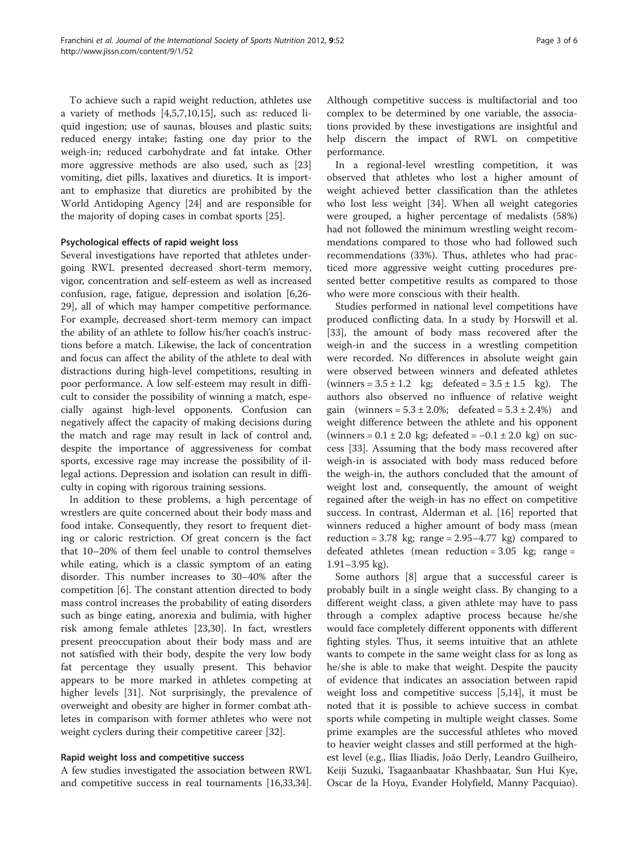To achieve such a rapid weight reduction, athletes use a variety of methods [4,5,7,10,15], such as: reduced liquid ingestion; use of saunas, blouses and plastic suits; reduced energy intake; fasting one day prior to the weigh-in; reduced carbohydrate and fat intake. Other more aggressive methods are also used, such as [23] vomiting, diet pills, laxatives and diuretics. It is important to emphasize that diuretics are prohibited by the World Antidoping Agency [24] and are responsible for the majority of doping cases in combat sports [25].

# Psychological effects of rapid weight loss

Several investigations have reported that athletes undergoing RWL presented decreased short-term memory, vigor, concentration and self-esteem as well as increased confusion, rage, fatigue, depression and isolation [6,26- 29], all of which may hamper competitive performance. For example, decreased short-term memory can impact the ability of an athlete to follow his/her coach's instructions before a match. Likewise, the lack of concentration and focus can affect the ability of the athlete to deal with distractions during high-level competitions, resulting in poor performance. A low self-esteem may result in difficult to consider the possibility of winning a match, especially against high-level opponents. Confusion can negatively affect the capacity of making decisions during the match and rage may result in lack of control and, despite the importance of aggressiveness for combat sports, excessive rage may increase the possibility of illegal actions. Depression and isolation can result in difficulty in coping with rigorous training sessions.

In addition to these problems, a high percentage of wrestlers are quite concerned about their body mass and food intake. Consequently, they resort to frequent dieting or caloric restriction. Of great concern is the fact that 10–20% of them feel unable to control themselves while eating, which is a classic symptom of an eating disorder. This number increases to 30–40% after the competition [6]. The constant attention directed to body mass control increases the probability of eating disorders such as binge eating, anorexia and bulimia, with higher risk among female athletes [23,30]. In fact, wrestlers present preoccupation about their body mass and are not satisfied with their body, despite the very low body fat percentage they usually present. This behavior appears to be more marked in athletes competing at higher levels [31]. Not surprisingly, the prevalence of overweight and obesity are higher in former combat athletes in comparison with former athletes who were not weight cyclers during their competitive career [32].

### Rapid weight loss and competitive success

A few studies investigated the association between RWL and competitive success in real tournaments [16,33,34]. Although competitive success is multifactorial and too complex to be determined by one variable, the associations provided by these investigations are insightful and help discern the impact of RWL on competitive performance.

In a regional-level wrestling competition, it was observed that athletes who lost a higher amount of weight achieved better classification than the athletes who lost less weight [34]. When all weight categories were grouped, a higher percentage of medalists (58%) had not followed the minimum wrestling weight recommendations compared to those who had followed such recommendations (33%). Thus, athletes who had practiced more aggressive weight cutting procedures presented better competitive results as compared to those who were more conscious with their health.

Studies performed in national level competitions have produced conflicting data. In a study by Horswill et al. [33], the amount of body mass recovered after the weigh-in and the success in a wrestling competition were recorded. No differences in absolute weight gain were observed between winners and defeated athletes (winners =  $3.5 \pm 1.2$  kg; defeated =  $3.5 \pm 1.5$  kg). The authors also observed no influence of relative weight gain (winners =  $5.3 \pm 2.0$ %; defeated =  $5.3 \pm 2.4$ %) and weight difference between the athlete and his opponent (winners =  $0.1 \pm 2.0$  kg; defeated =  $-0.1 \pm 2.0$  kg) on success [33]. Assuming that the body mass recovered after weigh-in is associated with body mass reduced before the weigh-in, the authors concluded that the amount of weight lost and, consequently, the amount of weight regained after the weigh-in has no effect on competitive success. In contrast, Alderman et al. [16] reported that winners reduced a higher amount of body mass (mean reduction =  $3.78 \text{ kg}$ ; range =  $2.95-4.77 \text{ kg}$ ) compared to defeated athletes (mean reduction =  $3.05$  kg; range = 1.91–3.95 kg).

Some authors [8] argue that a successful career is probably built in a single weight class. By changing to a different weight class, a given athlete may have to pass through a complex adaptive process because he/she would face completely different opponents with different fighting styles. Thus, it seems intuitive that an athlete wants to compete in the same weight class for as long as he/she is able to make that weight. Despite the paucity of evidence that indicates an association between rapid weight loss and competitive success [5,14], it must be noted that it is possible to achieve success in combat sports while competing in multiple weight classes. Some prime examples are the successful athletes who moved to heavier weight classes and still performed at the highest level (e.g., Ilias Iliadis, João Derly, Leandro Guilheiro, Keiji Suzuki, Tsagaanbaatar Khashbaatar, Sun Hui Kye, Oscar de la Hoya, Evander Holyfield, Manny Pacquiao).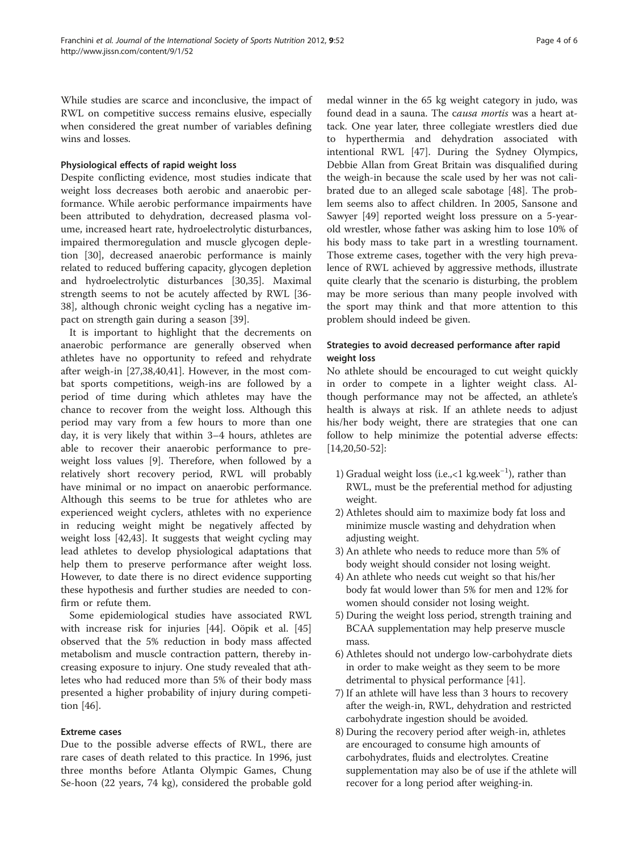While studies are scarce and inconclusive, the impact of RWL on competitive success remains elusive, especially when considered the great number of variables defining wins and losses.

# Physiological effects of rapid weight loss

Despite conflicting evidence, most studies indicate that weight loss decreases both aerobic and anaerobic performance. While aerobic performance impairments have been attributed to dehydration, decreased plasma volume, increased heart rate, hydroelectrolytic disturbances, impaired thermoregulation and muscle glycogen depletion [30], decreased anaerobic performance is mainly related to reduced buffering capacity, glycogen depletion and hydroelectrolytic disturbances [30,35]. Maximal strength seems to not be acutely affected by RWL [36- 38], although chronic weight cycling has a negative impact on strength gain during a season [39].

It is important to highlight that the decrements on anaerobic performance are generally observed when athletes have no opportunity to refeed and rehydrate after weigh-in [27,38,40,41]. However, in the most combat sports competitions, weigh-ins are followed by a period of time during which athletes may have the chance to recover from the weight loss. Although this period may vary from a few hours to more than one day, it is very likely that within 3–4 hours, athletes are able to recover their anaerobic performance to preweight loss values [9]. Therefore, when followed by a relatively short recovery period, RWL will probably have minimal or no impact on anaerobic performance. Although this seems to be true for athletes who are experienced weight cyclers, athletes with no experience in reducing weight might be negatively affected by weight loss [42,43]. It suggests that weight cycling may lead athletes to develop physiological adaptations that help them to preserve performance after weight loss. However, to date there is no direct evidence supporting these hypothesis and further studies are needed to confirm or refute them.

Some epidemiological studies have associated RWL with increase risk for injuries [44]. Oöpik et al. [45] observed that the 5% reduction in body mass affected metabolism and muscle contraction pattern, thereby increasing exposure to injury. One study revealed that athletes who had reduced more than 5% of their body mass presented a higher probability of injury during competition [46].

# Extreme cases

Due to the possible adverse effects of RWL, there are rare cases of death related to this practice. In 1996, just three months before Atlanta Olympic Games, Chung Se-hoon (22 years, 74 kg), considered the probable gold

medal winner in the 65 kg weight category in judo, was found dead in a sauna. The causa mortis was a heart attack. One year later, three collegiate wrestlers died due to hyperthermia and dehydration associated with intentional RWL [47]. During the Sydney Olympics, Debbie Allan from Great Britain was disqualified during the weigh-in because the scale used by her was not calibrated due to an alleged scale sabotage [48]. The problem seems also to affect children. In 2005, Sansone and Sawyer [49] reported weight loss pressure on a 5-yearold wrestler, whose father was asking him to lose 10% of his body mass to take part in a wrestling tournament. Those extreme cases, together with the very high prevalence of RWL achieved by aggressive methods, illustrate quite clearly that the scenario is disturbing, the problem may be more serious than many people involved with the sport may think and that more attention to this problem should indeed be given.

# Strategies to avoid decreased performance after rapid weight loss

No athlete should be encouraged to cut weight quickly in order to compete in a lighter weight class. Although performance may not be affected, an athlete's health is always at risk. If an athlete needs to adjust his/her body weight, there are strategies that one can follow to help minimize the potential adverse effects: [14,20,50-52]:

- 1) Gradual weight loss (i.e.,<1 kg.week−<sup>1</sup> ), rather than RWL, must be the preferential method for adjusting weight.
- 2) Athletes should aim to maximize body fat loss and minimize muscle wasting and dehydration when adjusting weight.
- 3) An athlete who needs to reduce more than 5% of body weight should consider not losing weight.
- 4) An athlete who needs cut weight so that his/her body fat would lower than 5% for men and 12% for women should consider not losing weight.
- 5) During the weight loss period, strength training and BCAA supplementation may help preserve muscle mass.
- 6) Athletes should not undergo low-carbohydrate diets in order to make weight as they seem to be more detrimental to physical performance [41].
- 7) If an athlete will have less than 3 hours to recovery after the weigh-in, RWL, dehydration and restricted carbohydrate ingestion should be avoided.
- 8) During the recovery period after weigh-in, athletes are encouraged to consume high amounts of carbohydrates, fluids and electrolytes. Creatine supplementation may also be of use if the athlete will recover for a long period after weighing-in.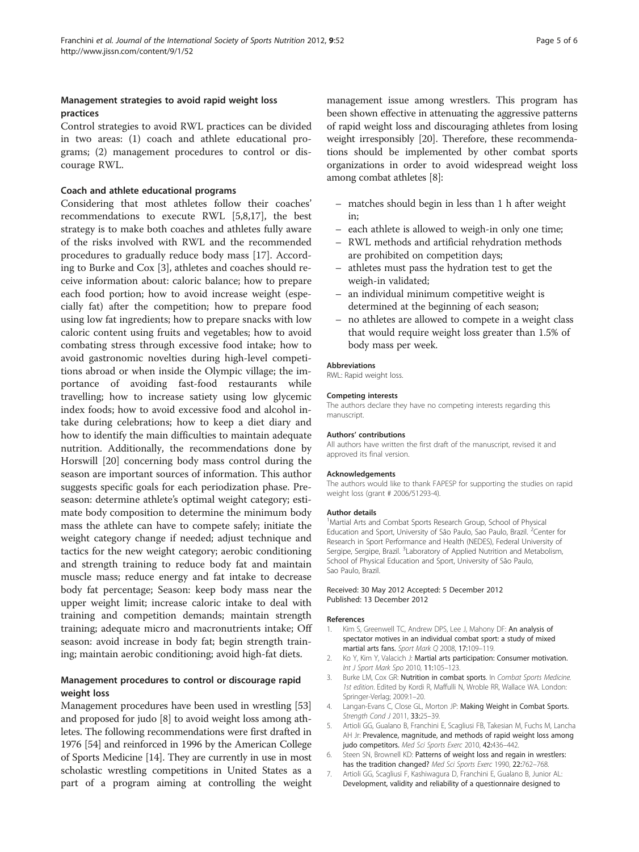# Management strategies to avoid rapid weight loss practices

Control strategies to avoid RWL practices can be divided in two areas: (1) coach and athlete educational programs; (2) management procedures to control or discourage RWL.

# Coach and athlete educational programs

Considering that most athletes follow their coaches' recommendations to execute RWL [5,8,17], the best strategy is to make both coaches and athletes fully aware of the risks involved with RWL and the recommended procedures to gradually reduce body mass [17]. According to Burke and Cox [3], athletes and coaches should receive information about: caloric balance; how to prepare each food portion; how to avoid increase weight (especially fat) after the competition; how to prepare food using low fat ingredients; how to prepare snacks with low caloric content using fruits and vegetables; how to avoid combating stress through excessive food intake; how to avoid gastronomic novelties during high-level competitions abroad or when inside the Olympic village; the importance of avoiding fast-food restaurants while travelling; how to increase satiety using low glycemic index foods; how to avoid excessive food and alcohol intake during celebrations; how to keep a diet diary and how to identify the main difficulties to maintain adequate nutrition. Additionally, the recommendations done by Horswill [20] concerning body mass control during the season are important sources of information. This author suggests specific goals for each periodization phase. Preseason: determine athlete's optimal weight category; estimate body composition to determine the minimum body mass the athlete can have to compete safely; initiate the weight category change if needed; adjust technique and tactics for the new weight category; aerobic conditioning and strength training to reduce body fat and maintain muscle mass; reduce energy and fat intake to decrease body fat percentage; Season: keep body mass near the upper weight limit; increase caloric intake to deal with training and competition demands; maintain strength training; adequate micro and macronutrients intake; Off season: avoid increase in body fat; begin strength training; maintain aerobic conditioning; avoid high-fat diets.

# Management procedures to control or discourage rapid weight loss

Management procedures have been used in wrestling [53] and proposed for judo [8] to avoid weight loss among athletes. The following recommendations were first drafted in 1976 [54] and reinforced in 1996 by the American College of Sports Medicine [14]. They are currently in use in most scholastic wrestling competitions in United States as a part of a program aiming at controlling the weight management issue among wrestlers. This program has been shown effective in attenuating the aggressive patterns of rapid weight loss and discouraging athletes from losing weight irresponsibly [20]. Therefore, these recommendations should be implemented by other combat sports organizations in order to avoid widespread weight loss among combat athletes [8]:

- matches should begin in less than 1 h after weight in;
- each athlete is allowed to weigh-in only one time;
- RWL methods and artificial rehydration methods are prohibited on competition days;
- athletes must pass the hydration test to get the weigh-in validated;
- an individual minimum competitive weight is determined at the beginning of each season;
- no athletes are allowed to compete in a weight class that would require weight loss greater than 1.5% of body mass per week.

### Abbreviations

RWL: Rapid weight loss.

#### Competing interests

The authors declare they have no competing interests regarding this manuscript.

#### Authors' contributions

All authors have written the first draft of the manuscript, revised it and approved its final version.

#### Acknowledgements

The authors would like to thank FAPESP for supporting the studies on rapid weight loss (grant # 2006/51293-4).

#### Author details

<sup>1</sup> Martial Arts and Combat Sports Research Group, School of Physical Education and Sport, University of São Paulo, Sao Paulo, Brazil. <sup>2</sup>Center for Research in Sport Performance and Health (NEDES), Federal University of Sergipe, Sergipe, Brazil. <sup>3</sup>Laboratory of Applied Nutrition and Metabolism, School of Physical Education and Sport, University of São Paulo, Sao Paulo, Brazil.

### Received: 30 May 2012 Accepted: 5 December 2012 Published: 13 December 2012

#### References

- 1. Kim S, Greenwell TC, Andrew DPS, Lee J, Mahony DF: An analysis of spectator motives in an individual combat sport: a study of mixed martial arts fans. Sport Mark Q 2008, 17:109–119.
- 2. Ko Y, Kim Y, Valacich J: Martial arts participation: Consumer motivation. Int J Sport Mark Spo 2010, 11:105–123.
- 3. Burke LM, Cox GR: Nutrition in combat sports. In Combat Sports Medicine. 1st edition. Edited by Kordi R, Maffulli N, Wroble RR, Wallace WA. London: Springer-Verlag; 2009:1–20.
- 4. Langan-Evans C, Close GL, Morton JP: Making Weight in Combat Sports. Strength Cond J 2011, 33:25–39.
- 5. Artioli GG, Gualano B, Franchini E, Scagliusi FB, Takesian M, Fuchs M, Lancha AH Jr: Prevalence, magnitude, and methods of rapid weight loss among judo competitors. Med Sci Sports Exerc 2010, 42:436-442.
- 6. Steen SN, Brownell KD: Patterns of weight loss and regain in wrestlers: has the tradition changed? Med Sci Sports Exerc 1990, 22:762-768.
- 7. Artioli GG, Scagliusi F, Kashiwagura D, Franchini E, Gualano B, Junior AL: Development, validity and reliability of a questionnaire designed to